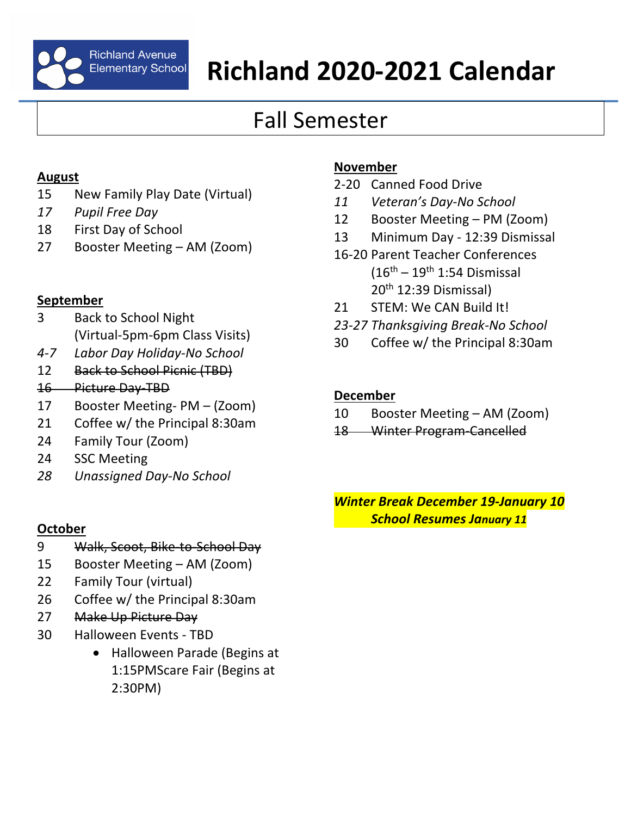

# Richland Avenue<br>Elementary School **Richland 2020-2021 Calendar**

## Fall Semester

#### **August**

- 15 New Family Play Date (Virtual)
- *17 Pupil Free Day*
- 18 First Day of School
- 27 Booster Meeting AM (Zoom)

### **September**

- 3 Back to School Night (Virtual-5pm-6pm Class Visits)
- *4-7 Labor Day Holiday-No School*
- 12 Back to School Picnic (TBD)
- 16 Picture Day-TBD
- 17 Booster Meeting- PM (Zoom)
- 21 Coffee w/ the Principal 8:30am
- 24 Family Tour (Zoom)
- 24 SSC Meeting
- *28 Unassigned Day-No School*

### **November**

- 2-20 Canned Food Drive
- *11 Veteran's Day-No School*
- 12 Booster Meeting PM (Zoom)
- 13 Minimum Day 12:39 Dismissal
- 16-20 Parent Teacher Conferences  $(16<sup>th</sup> – 19<sup>th</sup> 1:54$  Dismissal 20th 12:39 Dismissal)
- 21 STEM: We CAN Build It!
- *23-27 Thanksgiving Break-No School*
- 30 Coffee w/ the Principal 8:30am

### **December**

- 10 Booster Meeting AM (Zoom)
- 18 Winter Program-Cancelled

*Winter Break December 19-January 10 School Resumes January 11*

### **October**

- 9 Walk, Scoot, Bike-to-School Day
- 15 Booster Meeting AM (Zoom)
- 22 Family Tour (virtual)
- 26 Coffee w/ the Principal 8:30am
- 27 Make Up Picture Day
- 30 Halloween Events TBD
	- Halloween Parade (Begins at 1:15PMScare Fair (Begins at 2:30PM)